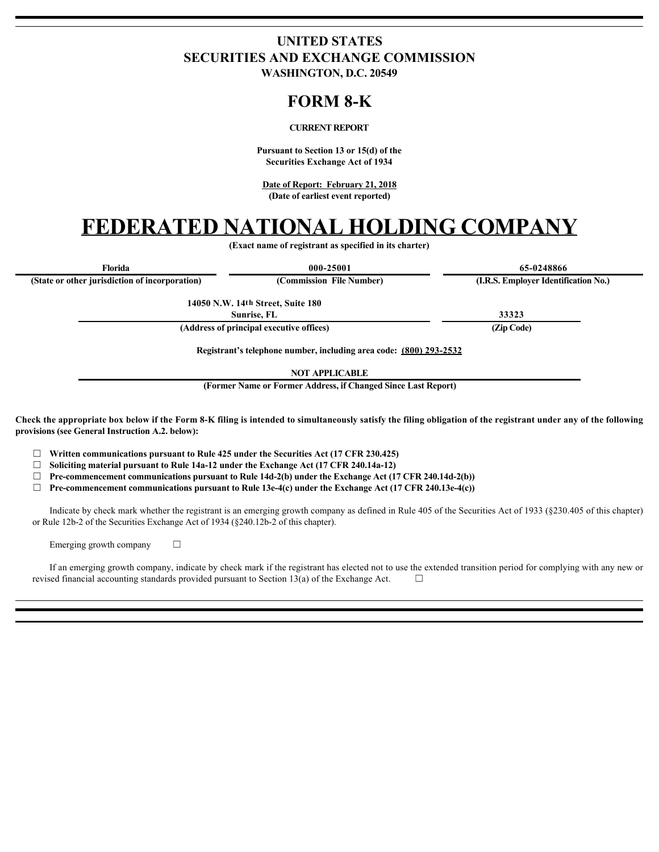## **UNITED STATES SECURITIES AND EXCHANGE COMMISSION**

**WASHINGTON, D.C. 20549**

### **FORM 8-K**

#### **CURRENT REPORT**

**Pursuant to Section 13 or 15(d) of the Securities Exchange Act of 1934**

**Date of Report: February 21, 2018 (Date of earliest event reported)**

# **FEDERATED NATIONAL HOLDING COMPANY**

**(Exact name of registrant as specified in its charter)**

| Florida                                                                                                                                                                                                                                                                                                                                                                                                | 000-25001                                                                                                                                                                                                                   | 65-0248866                                                                                                                                                  |
|--------------------------------------------------------------------------------------------------------------------------------------------------------------------------------------------------------------------------------------------------------------------------------------------------------------------------------------------------------------------------------------------------------|-----------------------------------------------------------------------------------------------------------------------------------------------------------------------------------------------------------------------------|-------------------------------------------------------------------------------------------------------------------------------------------------------------|
| (State or other jurisdiction of incorporation)                                                                                                                                                                                                                                                                                                                                                         | (Commission File Number)                                                                                                                                                                                                    | (I.R.S. Employer Identification No.)                                                                                                                        |
|                                                                                                                                                                                                                                                                                                                                                                                                        | 14050 N.W. 14th Street, Suite 180<br>Sunrise, FL                                                                                                                                                                            | 33323                                                                                                                                                       |
| (Address of principal executive offices)                                                                                                                                                                                                                                                                                                                                                               |                                                                                                                                                                                                                             | (Zip Code)                                                                                                                                                  |
|                                                                                                                                                                                                                                                                                                                                                                                                        | Registrant's telephone number, including area code: (800) 293-2532                                                                                                                                                          |                                                                                                                                                             |
|                                                                                                                                                                                                                                                                                                                                                                                                        | <b>NOT APPLICABLE</b>                                                                                                                                                                                                       |                                                                                                                                                             |
|                                                                                                                                                                                                                                                                                                                                                                                                        | (Former Name or Former Address, if Changed Since Last Report)                                                                                                                                                               |                                                                                                                                                             |
| Check the appropriate box below if the Form 8-K filing is intended to simultaneously satisfy the filing obligation of the registrant under any of the following<br>provisions (see General Instruction A.2. below):<br>Written communications pursuant to Rule 425 under the Securities Act (17 CFR 230.425)<br>Soliciting material pursuant to Rule 14a-12 under the Exchange Act (17 CFR 240.14a-12) | Pre-commencement communications pursuant to Rule 14d-2(b) under the Exchange Act (17 CFR 240.14d-2(b))<br>Pre-commencement communications pursuant to Rule 13e-4(c) under the Exchange Act $(17 \text{ CFR } 240.13e-4(c))$ |                                                                                                                                                             |
| or Rule 12b-2 of the Securities Exchange Act of 1934 (\$240.12b-2 of this chapter).                                                                                                                                                                                                                                                                                                                    |                                                                                                                                                                                                                             | Indicate by check mark whether the registrant is an emerging growth company as defined in Rule 405 of the Securities Act of 1933 (§230.405 of this chapter) |
| Emerging growth company<br>$\Box$                                                                                                                                                                                                                                                                                                                                                                      |                                                                                                                                                                                                                             |                                                                                                                                                             |
| revised financial accounting standards provided pursuant to Section 13(a) of the Exchange Act.                                                                                                                                                                                                                                                                                                         | $\Box$                                                                                                                                                                                                                      | If an emerging growth company, indicate by check mark if the registrant has elected not to use the extended transition period for complying with any new or |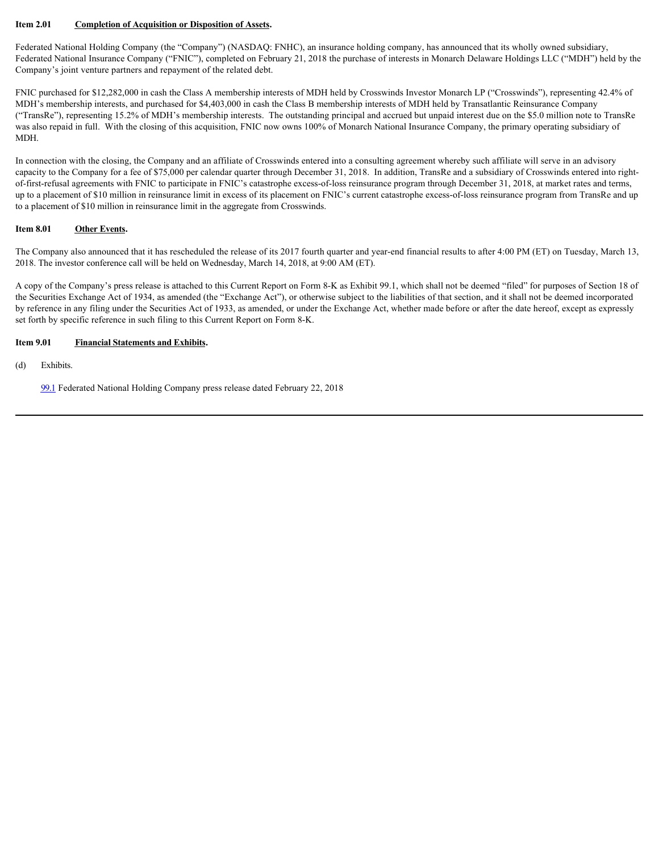#### **Item 2.01 Completion of Acquisition or Disposition of Assets.**

Federated National Holding Company (the "Company") (NASDAQ: FNHC), an insurance holding company, has announced that its wholly owned subsidiary, Federated National Insurance Company ("FNIC"), completed on February 21, 2018 the purchase of interests in Monarch Delaware Holdings LLC ("MDH") held by the Company's joint venture partners and repayment of the related debt.

FNIC purchased for \$12,282,000 in cash the Class A membership interests of MDH held by Crosswinds Investor Monarch LP ("Crosswinds"), representing 42.4% of MDH's membership interests, and purchased for \$4,403,000 in cash the Class B membership interests of MDH held by Transatlantic Reinsurance Company ("TransRe"), representing 15.2% of MDH's membership interests. The outstanding principal and accrued but unpaid interest due on the \$5.0 million note to TransRe was also repaid in full. With the closing of this acquisition, FNIC now owns 100% of Monarch National Insurance Company, the primary operating subsidiary of MDH.

In connection with the closing, the Company and an affiliate of Crosswinds entered into a consulting agreement whereby such affiliate will serve in an advisory capacity to the Company for a fee of \$75,000 per calendar quarter through December 31, 2018. In addition, TransRe and a subsidiary of Crosswinds entered into rightof-first-refusal agreements with FNIC to participate in FNIC's catastrophe excess-of-loss reinsurance program through December 31, 2018, at market rates and terms, up to a placement of \$10 million in reinsurance limit in excess of its placement on FNIC's current catastrophe excess-of-loss reinsurance program from TransRe and up to a placement of \$10 million in reinsurance limit in the aggregate from Crosswinds.

#### **Item 8.01 Other Events.**

The Company also announced that it has rescheduled the release of its 2017 fourth quarter and year-end financial results to after 4:00 PM (ET) on Tuesday, March 13, 2018. The investor conference call will be held on Wednesday, March 14, 2018, at 9:00 AM (ET).

A copy of the Company's press release is attached to this Current Report on Form 8-K as Exhibit 99.1, which shall not be deemed "filed" for purposes of Section 18 of the Securities Exchange Act of 1934, as amended (the "Exchange Act"), or otherwise subject to the liabilities of that section, and it shall not be deemed incorporated by reference in any filing under the Securities Act of 1933, as amended, or under the Exchange Act, whether made before or after the date hereof, except as expressly set forth by specific reference in such filing to this Current Report on Form 8-K.

#### **Item 9.01 Financial Statements and Exhibits.**

(d) Exhibits.

[99.1](file:///C:/Users/lawrence.braithwaite/AppData/Local/Temp/EDGARfilings%20PROfile%20Green/apdvlggk.rda/expand/content/ex99_1.htm) Federated National Holding Company press release dated February 22, 2018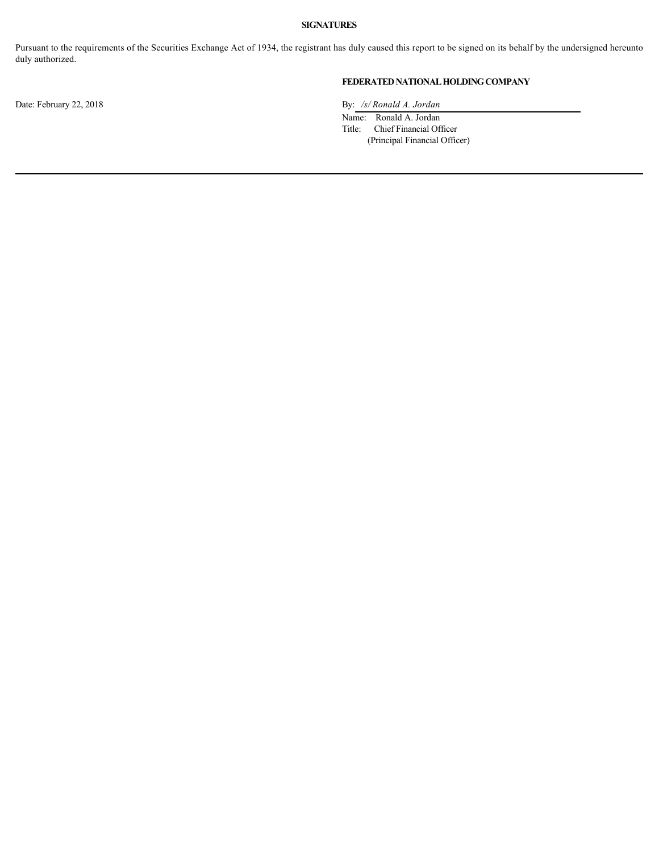#### **SIGNATURES**

Pursuant to the requirements of the Securities Exchange Act of 1934, the registrant has duly caused this report to be signed on its behalf by the undersigned hereunto duly authorized.

#### **FEDERATED NATIONAL HOLDING COMPANY**

Date: February 22, 2018 By: /s/ *Ronald A. Jordan* 

Name: Ronald A. Jordan Title: Chief Financial Officer

(Principal Financial Officer)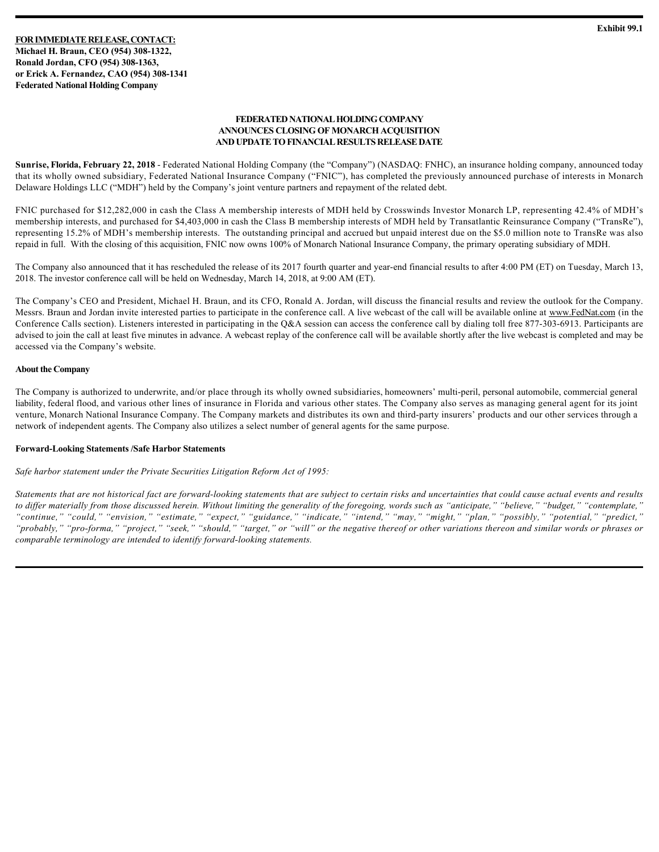**FOR IMMEDIATE RELEASE, CONTACT: Michael H. Braun, CEO (954) 308-1322, Ronald Jordan, CFO (954) 308-1363, or Erick A. Fernandez, CAO (954) 308-1341 Federated National Holding Company**

#### **FEDERATED NATIONAL HOLDING COMPANY ANNOUNCES CLOSING OF MONARCH ACQUISITION AND UPDATE TO FINANCIAL RESULTS RELEASE DATE**

**Sunrise, Florida, February 22, 2018** - Federated National Holding Company (the "Company") (NASDAQ: FNHC), an insurance holding company, announced today that its wholly owned subsidiary, Federated National Insurance Company ("FNIC"), has completed the previously announced purchase of interests in Monarch Delaware Holdings LLC ("MDH") held by the Company's joint venture partners and repayment of the related debt.

FNIC purchased for \$12,282,000 in cash the Class A membership interests of MDH held by Crosswinds Investor Monarch LP, representing 42.4% of MDH's membership interests, and purchased for \$4,403,000 in cash the Class B membership interests of MDH held by Transatlantic Reinsurance Company ("TransRe"), representing 15.2% of MDH's membership interests. The outstanding principal and accrued but unpaid interest due on the \$5.0 million note to TransRe was also repaid in full. With the closing of this acquisition, FNIC now owns 100% of Monarch National Insurance Company, the primary operating subsidiary of MDH.

The Company also announced that it has rescheduled the release of its 2017 fourth quarter and year-end financial results to after 4:00 PM (ET) on Tuesday, March 13, 2018. The investor conference call will be held on Wednesday, March 14, 2018, at 9:00 AM (ET).

The Company's CEO and President, Michael H. Braun, and its CFO, Ronald A. Jordan, will discuss the financial results and review the outlook for the Company. Messrs. Braun and Jordan invite interested parties to participate in the conference call. A live webcast of the call will be available online at www.FedNat.com (in the Conference Calls section). Listeners interested in participating in the Q&A session can access the conference call by dialing toll free 877-303-6913. Participants are advised to join the call at least five minutes in advance. A webcast replay of the conference call will be available shortly after the live webcast is completed and may be accessed via the Company's website.

#### **About the Company**

The Company is authorized to underwrite, and/or place through its wholly owned subsidiaries, homeowners' multi-peril, personal automobile, commercial general liability, federal flood, and various other lines of insurance in Florida and various other states. The Company also serves as managing general agent for its joint venture, Monarch National Insurance Company. The Company markets and distributes its own and third-party insurers' products and our other services through a network of independent agents. The Company also utilizes a select number of general agents for the same purpose.

#### **Forward-Looking Statements /Safe Harbor Statements**

*Safe harbor statement under the Private Securities Litigation Reform Act of 1995:*

*Statements that are not historical fact are forward-looking statements that are subject to certain risks and uncertainties that could cause actual events and results to differ materially from those discussed herein. Without limiting the generality of the foregoing, words such as "anticipate," "believe," "budget," "contemplate," "continue," "could," "envision," "estimate," "expect," "guidance," "indicate," "intend," "may," "might," "plan," "possibly," "potential," "predict," "probably," "pro-forma," "project," "seek," "should," "target," or "will" or the negative thereof or other variations thereon and similar words or phrases or comparable terminology are intended to identify forward-looking statements.*